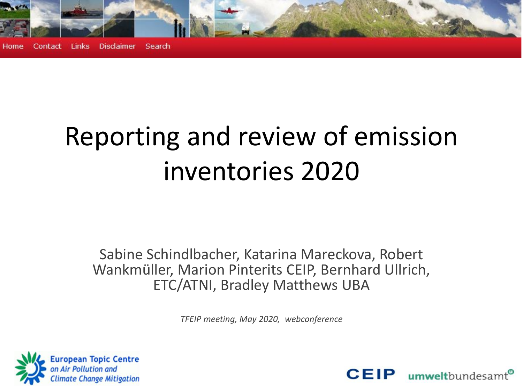

# Reporting and review of emission inventories 2020

Sabine Schindlbacher, Katarina Mareckova, Robert Wankmüller, Marion Pinterits CEIP, Bernhard Ullrich, ETC/ATNI, Bradley Matthews UBA

*TFEIP meeting, May 2020, webconference*



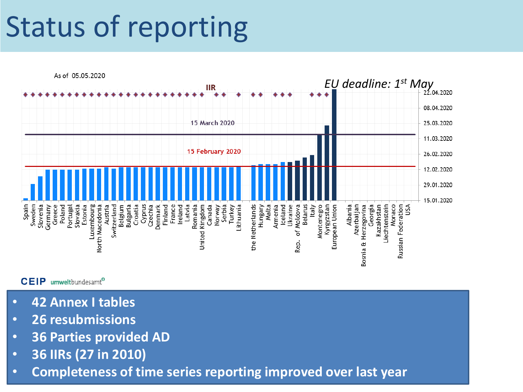# Status of reporting



#### **CEIP** umweltbundesamt<sup>®</sup>

- **42 Annex I tables**
- **26 resubmissions**
- **36 Parties provided AD**
- **36 IIRs (27 in 2010)**
- **Completeness of time series reporting improved over last year**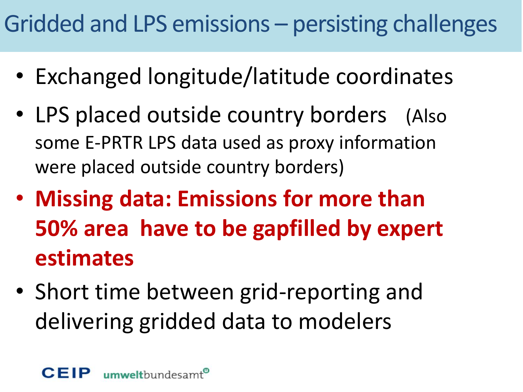## Gridded and LPS emissions – persisting challenges

- Exchanged longitude/latitude coordinates
- LPS placed outside country borders (Also some E-PRTR LPS data used as proxy information were placed outside country borders)
- **Missing data: Emissions for more than 50% area have to be gapfilled by expert estimates**
- Short time between grid-reporting and delivering gridded data to modelers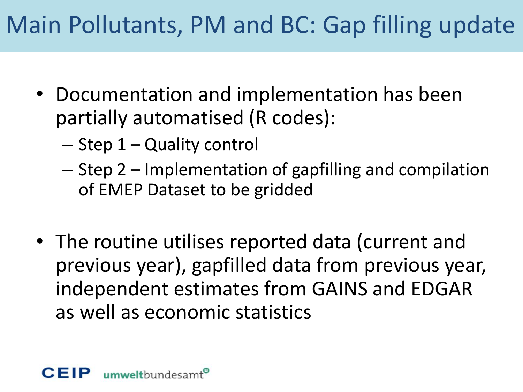## Main Pollutants, PM and BC: Gap filling update

- Documentation and implementation has been partially automatised (R codes):
	- Step 1 Quality control
	- Step 2 Implementation of gapfilling and compilation of EMEP Dataset to be gridded
- The routine utilises reported data (current and previous year), gapfilled data from previous year, independent estimates from GAINS and EDGAR as well as economic statistics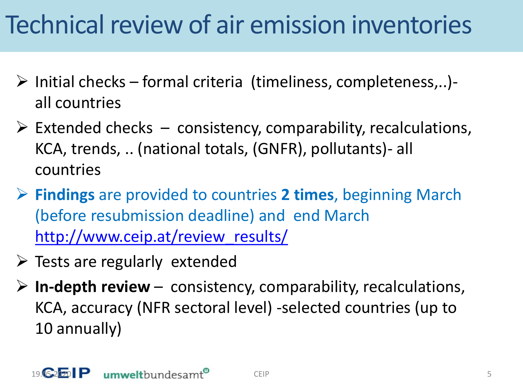# Technical review of air emission inventories

- $\triangleright$  Initial checks formal criteria (timeliness, completeness,..)all countries
- $\triangleright$  Extended checks consistency, comparability, recalculations, KCA, trends, .. (national totals, (GNFR), pollutants)- all countries
- ➢ **Findings** are provided to countries **2 times**, beginning March (before resubmission deadline) and end March [http://www.ceip.at/review\\_results/](http://www.ceip.at/review_results/)
- $\triangleright$  Tests are regularly extended
- ➢ **In-depth review**  consistency, comparability, recalculations, KCA, accuracy (NFR sectoral level) -selected countries (up to 10 annually)

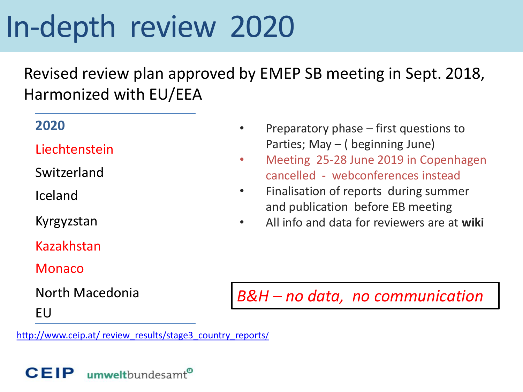# In-depth review 2020

Revised review plan approved by EMEP SB meeting in Sept. 2018, Harmonized with EU/EEA

#### **2020**

Liechtenstein

Switzerland

Iceland

Kyrgyzstan

Kazakhstan

Monaco

North Macedonia

EU

[http://www.ceip.at/ review\\_results/stage3\\_country\\_reports](http://www.ceip.at/ms/ceip_home1/ceip_home/review_results/stage3_country_reports/)/

Preparatory phase  $-$  first questions to Parties; May – ( beginning June)

• Meeting 25-28 June 2019 in Copenhagen cancelled - webconferences instead

• Finalisation of reports during summer and publication before EB meeting

• All info and data for reviewers are at **wiki** 

*B&H – no data, no communication* 

umweltbundesamt<sup>®</sup> **CEIP**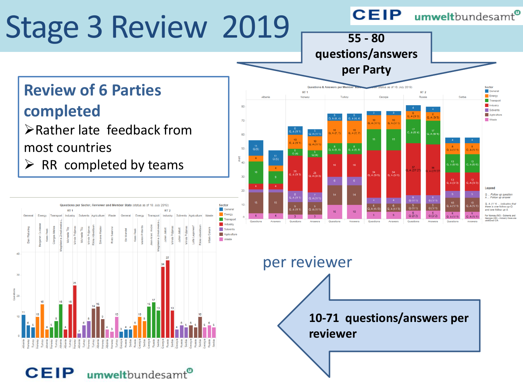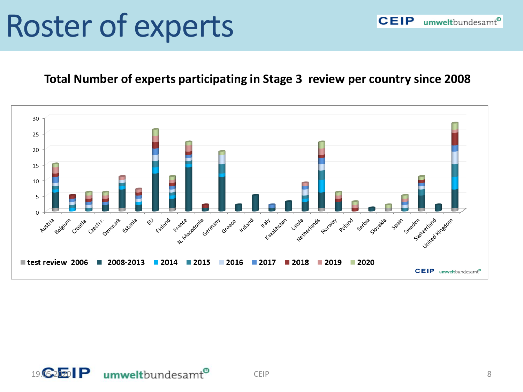# Roster of experts

#### **Total Number of experts participating in Stage 3 review per country since 2008**

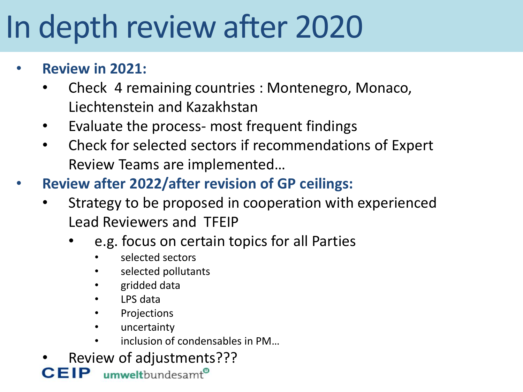# In depth review after 2020

### • **Review in 2021:**

- Check 4 remaining countries : Montenegro, Monaco, Liechtenstein and Kazakhstan
- Evaluate the process- most frequent findings
- Check for selected sectors if recommendations of Expert Review Teams are implemented…
- **Review after 2022/after revision of GP ceilings:**
	- Strategy to be proposed in cooperation with experienced Lead Reviewers and TFEIP
		- e.g. focus on certain topics for all Parties
			- selected sectors
			- selected pollutants
			- gridded data
			- LPS data
			- **Projections**
			- uncertainty
			- inclusion of condensables in PM…
	- Review of adjustments???<br>**IP** unwelthundesamt<sup>®</sup>

CEIP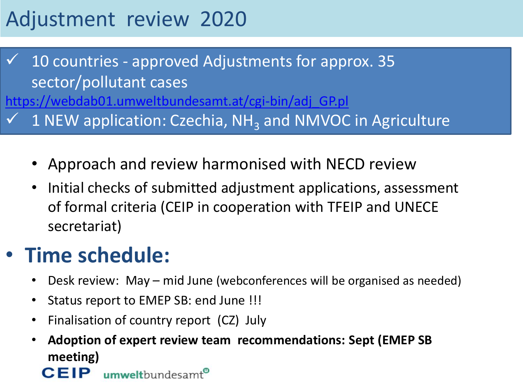## Adjustment review 2020

10 countries - approved Adjustments for approx. 35 sector/pollutant cases [https://webdab01.umweltbundesamt.at/cgi-bin/adj\\_GP.pl](https://webdab01.umweltbundesamt.at/cgi-bin/adj_GP.pl)  $\checkmark$  1 NEW application: Czechia, NH<sub>3</sub> and NMVOC in Agriculture

- Approach and review harmonised with NECD review
- Initial checks of submitted adjustment applications, assessment of formal criteria (CEIP in cooperation with TFEIP and UNECE secretariat)

## • **Time schedule:**

CEIP

- Desk review: May mid June (webconferences will be organised as needed)
- Status report to EMEP SB: end June !!!
- Finalisation of country report (CZ) July

umweltbundesamt®

• **Adoption of expert review team recommendations: Sept (EMEP SB meeting)**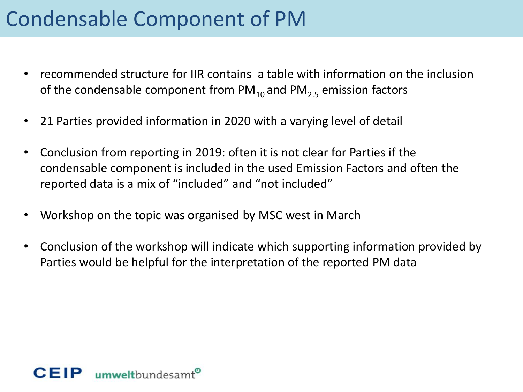## Condensable Component of PM

- recommended structure for IIR contains a table with information on the inclusion of the condensable component from  $PM_{10}$  and  $PM_{25}$  emission factors
- 21 Parties provided information in 2020 with a varying level of detail
- Conclusion from reporting in 2019: often it is not clear for Parties if the condensable component is included in the used Emission Factors and often the reported data is a mix of "included" and "not included"
- Workshop on the topic was organised by MSC west in March
- Conclusion of the workshop will indicate which supporting information provided by Parties would be helpful for the interpretation of the reported PM data

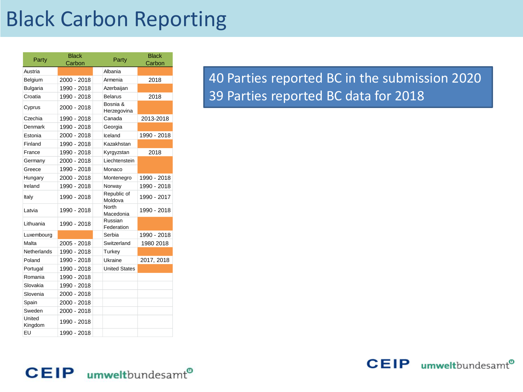## Black Carbon Reporting

| Party             | <b>Black</b><br>Carbon | Party                     | <b>Black</b><br>Carbon |
|-------------------|------------------------|---------------------------|------------------------|
| Austria           |                        | Albania                   |                        |
| Belgium           | 2000 - 2018            | Armenia                   | 2018                   |
| <b>Bulgaria</b>   | 1990 - 2018            | Azerbaijan                |                        |
| Croatia           | 1990 - 2018            | <b>Belarus</b>            | 2018                   |
| Cyprus            | 2000 - 2018            | Bosnia &<br>Herzegovina   |                        |
| Czechia           | 1990 - 2018            | Canada                    | 2013-2018              |
| Denmark           | 1990 - 2018            | Georgia                   |                        |
| Estonia           | 2000 - 2018            | Iceland                   | 1990 - 2018            |
| Finland           | 1990 - 2018            | Kazakhstan                |                        |
| France            | 1990 - 2018            | Kyrgyzstan                | 2018                   |
| Germany           | 2000 - 2018            | Liechtenstein             |                        |
| Greece            | 1990 - 2018            | Monaco                    |                        |
| Hungary           | 2000 - 2018            | Montenegro                | 1990 - 2018            |
| Ireland           | 1990 - 2018            | Norway                    | 1990 - 2018            |
| Italy             | 1990 - 2018            | Republic of<br>Moldova    | 1990 - 2017            |
| Latvia            | 1990 - 2018            | <b>North</b><br>Macedonia | 1990 - 2018            |
| Lithuania         | 1990 - 2018            | Russian<br>Federation     |                        |
| Luxembourg        |                        | Serbia                    | 1990 - 2018            |
| Malta             | 2005 - 2018            | Switzerland               | 1980 2018              |
| Netherlands       | 1990 - 2018            | Turkey                    |                        |
| Poland            | 1990 - 2018            | Ukraine                   | 2017, 2018             |
| Portugal          | 1990 - 2018            | <b>United States</b>      |                        |
| Romania           | 1990 - 2018            |                           |                        |
| Slovakia          | 1990 - 2018            |                           |                        |
| Slovenia          | 2000 - 2018            |                           |                        |
| Spain             | 2000 - 2018            |                           |                        |
| Sweden            | 2000 - 2018            |                           |                        |
| United<br>Kingdom | 1990 - 2018            |                           |                        |
| EU                | 1990 - 2018            |                           |                        |

40 Parties reported BC in the submission 2020 39 Parties reported BC data for 2018



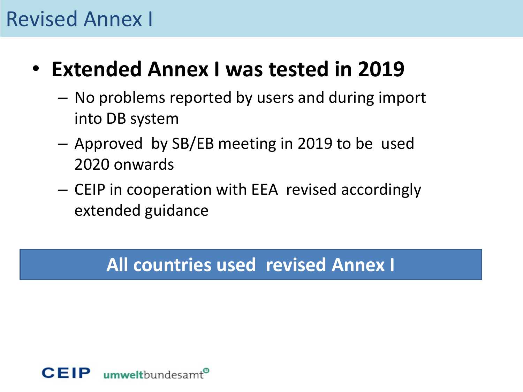### Revised Annex I

- **Extended Annex I was tested in 2019** 
	- No problems reported by users and during import into DB system
	- Approved by SB/EB meeting in 2019 to be used 2020 onwards
	- CEIP in cooperation with EEA revised accordingly extended guidance

### **All countries used revised Annex I**

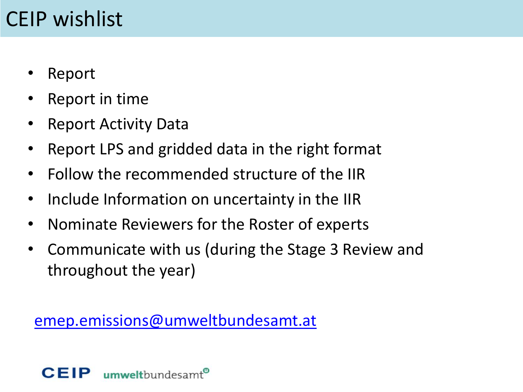## CEIP wishlist

- Report
- Report in time
- Report Activity Data
- Report LPS and gridded data in the right format
- Follow the recommended structure of the IIR
- Include Information on uncertainty in the IIR
- Nominate Reviewers for the Roster of experts
- Communicate with us (during the Stage 3 Review and throughout the year)

[emep.emissions@umweltbundesamt.at](mailto:Emep.emissions@umweltbudnesamt.at)

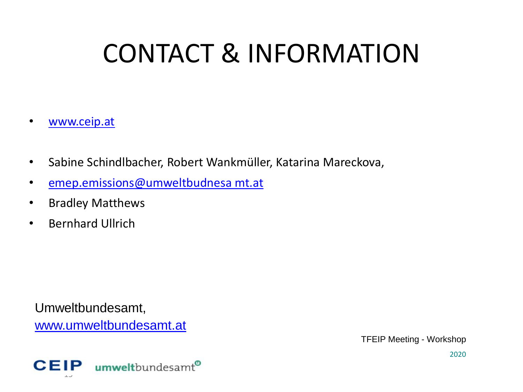# CONTACT & INFORMATION

- [www.ceip.at](http://www.ceip.at/)
- Sabine Schindlbacher, Robert Wankmüller, Katarina Mareckova,
- [emep.emissions@umweltbudnesa](mailto:Emep.emissions@umweltbudnesamt.at) mt.at
- Bradley Matthews
- Bernhard Ullrich

Umweltbundesamt, [www.umweltbundesamt.at](http://www.umweltbundesamt.at/)

TFEIP Meeting - Workshop